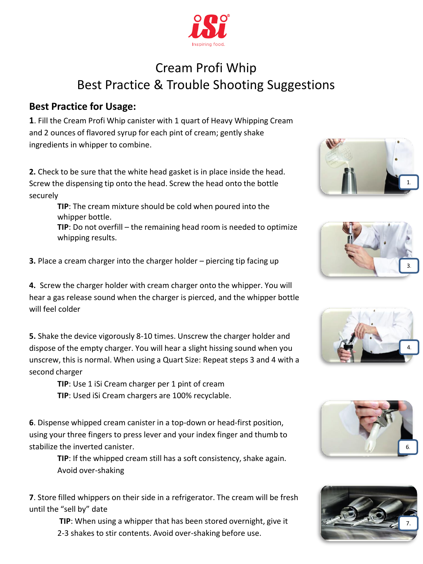

## Cream Profi Whip Best Practice & Trouble Shooting Suggestions

## **Best Practice for Usage:**

**1**. Fill the Cream Profi Whip canister with 1 quart of Heavy Whipping Cream and 2 ounces of flavored syrup for each pint of cream; gently shake ingredients in whipper to combine.

**2.** Check to be sure that the white head gasket is in place inside the head. Screw the dispensing tip onto the head. Screw the head onto the bottle securely

> **TIP**: The cream mixture should be cold when poured into the whipper bottle.

**TIP**: Do not overfill – the remaining head room is needed to optimize whipping results.

**3.** Place a cream charger into the charger holder – piercing tip facing up

**4.** Screw the charger holder with cream charger onto the whipper. You will hear a gas release sound when the charger is pierced, and the whipper bottle will feel colder

**5.** Shake the device vigorously 8-10 times. Unscrew the charger holder and dispose of the empty charger. You will hear a slight hissing sound when you unscrew, this is normal. When using a Quart Size: Repeat steps 3 and 4 with a second charger

**TIP**: Use 1 iSi Cream charger per 1 pint of cream

**TIP**: Used iSi Cream chargers are 100% recyclable.

**6**. Dispense whipped cream canister in a top-down or head-first position, using your three fingers to press lever and your index finger and thumb to stabilize the inverted canister.

> **TIP**: If the whipped cream still has a soft consistency, shake again. Avoid over-shaking

**7**. Store filled whippers on their side in a refrigerator. The cream will be fresh until the "sell by" date

> **TIP**: When using a whipper that has been stored overnight, give it 2-3 shakes to stir contents. Avoid over-shaking before use.